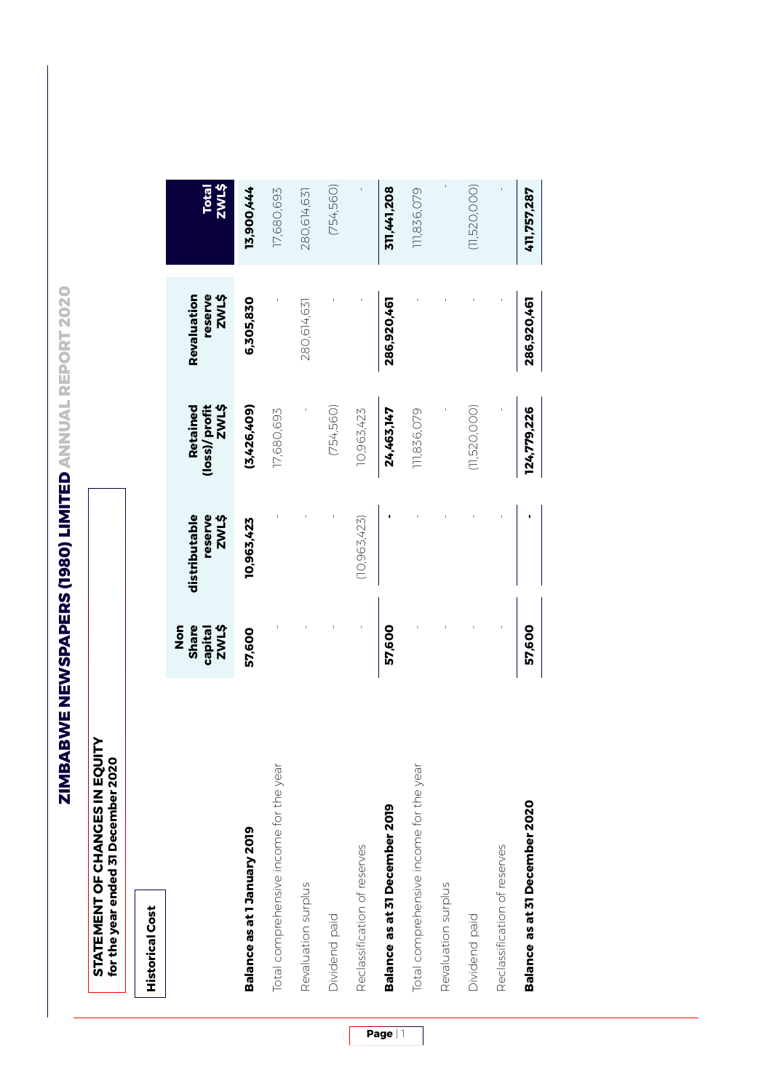ZIMBABWE NEWSPAPERS (1980) LIMITED ANNUAL REPORT 2020 **ZIMBABWE NEWSPAPERS (1980) LIMITED ANNUAL REPORT 2020**

| <b>NILN</b><br>for the year ended 31 December 2020<br>STATEMENT OF CHANGES IN EQI |                                             |                                   |                                           |                                        |                |
|-----------------------------------------------------------------------------------|---------------------------------------------|-----------------------------------|-------------------------------------------|----------------------------------------|----------------|
| <b>Historical Cost</b>                                                            |                                             |                                   |                                           |                                        |                |
|                                                                                   | <b>Share</b><br>ZWL\$<br>n<br>So<br>capital | distributable<br>reserve<br>ZWL\$ | <b>(loss)/profit</b><br>ZWL\$<br>Retained | reserve<br><b>ZWL\$</b><br>Revaluation | Total<br>ZWL\$ |
| Balance as at 1 January 2019                                                      | 57,600                                      | 10,963,423                        | (3,426,409)                               | 6,305,830                              | 13,900,444     |
| Total comprehensive income for the year                                           |                                             |                                   | 17,680,693                                |                                        | 17,680,693     |
| Revaluation surplus                                                               |                                             |                                   |                                           | 280,614,631                            | 280,614,631    |
| Dividend paid                                                                     |                                             |                                   | (754, 560)                                |                                        | (754, 560)     |
| Reclassification of reserves                                                      |                                             | (10,963,423)                      | 10,963,423                                |                                        |                |
| Balance as at 31 December 2019                                                    | 57,600                                      |                                   | 24,463,147                                | 286,920,461                            | 311,441,208    |
| Total comprehensive income for the year                                           |                                             |                                   | 11,836,079                                |                                        | 11,836,079     |
| Revaluation surplus                                                               |                                             |                                   |                                           |                                        | ī              |
| Dividend paid                                                                     |                                             |                                   | (11,520,000)                              |                                        | (11,520,000)   |
| Reclassification of reserves                                                      |                                             |                                   |                                           |                                        |                |
| Balance as at 31 December 2020                                                    | 57,600                                      |                                   | 124,779,226                               | 286,920,461                            | 411,757,287    |